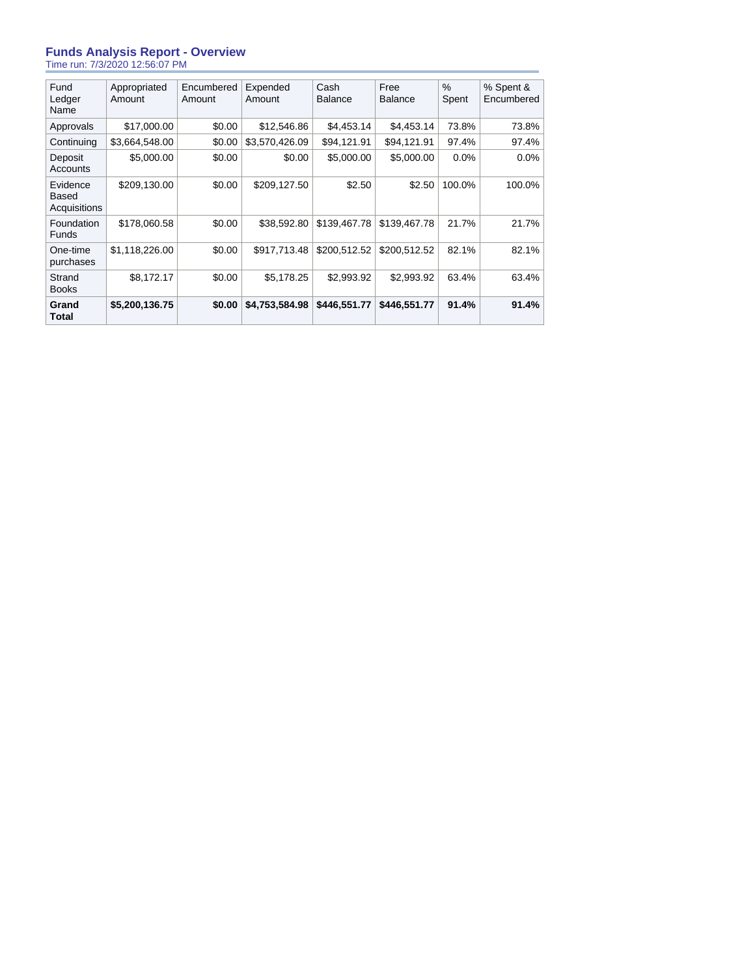#### **Funds Analysis Report - Overview** Time run: 7/3/2020 12:56:07 PM

| Fund<br>Ledger<br>Name            | Appropriated<br>Amount | Encumbered<br>Amount | Expended<br>Amount | Cash<br><b>Balance</b> | Free<br>Balance | $\%$<br>Spent | % Spent &<br>Encumbered |
|-----------------------------------|------------------------|----------------------|--------------------|------------------------|-----------------|---------------|-------------------------|
| Approvals                         | \$17,000.00            | \$0.00               | \$12,546.86        | \$4,453.14             | \$4,453.14      | 73.8%         | 73.8%                   |
| Continuing                        | \$3,664,548.00         | \$0.00               | \$3,570,426.09     | \$94,121.91            | \$94,121.91     | 97.4%         | 97.4%                   |
| Deposit<br><b>Accounts</b>        | \$5,000.00             | \$0.00               | \$0.00             | \$5,000.00             | \$5,000.00      | 0.0%          | $0.0\%$                 |
| Evidence<br>Based<br>Acquisitions | \$209,130.00           | \$0.00               | \$209,127.50       | \$2.50                 | \$2.50          | 100.0%        | 100.0%                  |
| Foundation<br><b>Funds</b>        | \$178,060.58           | \$0.00               | \$38,592.80        | \$139,467.78           | \$139,467.78    | 21.7%         | 21.7%                   |
| One-time<br>purchases             | \$1,118,226.00         | \$0.00               | \$917.713.48       | \$200.512.52           | \$200.512.52    | 82.1%         | 82.1%                   |
| Strand<br><b>Books</b>            | \$8,172.17             | \$0.00               | \$5.178.25         | \$2.993.92             | \$2,993.92      | 63.4%         | 63.4%                   |
| Grand<br><b>Total</b>             | \$5,200,136.75         | \$0.00               | \$4,753,584.98     | \$446.551.77           | \$446,551.77    | 91.4%         | 91.4%                   |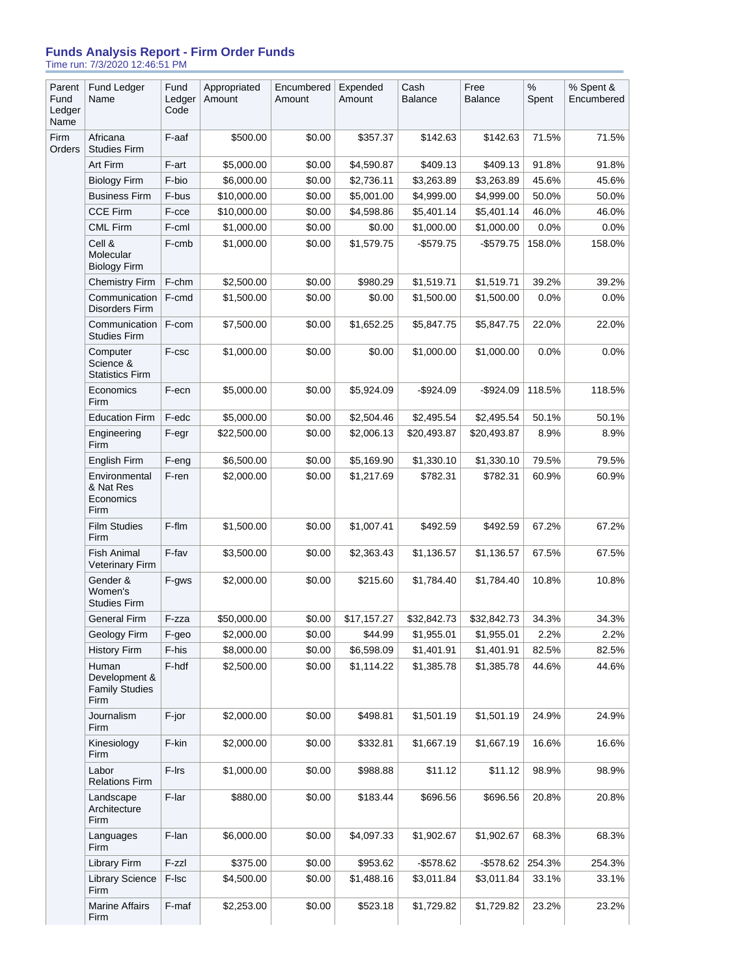#### **Funds Analysis Report - Firm Order Funds** Time run: 7/3/2020 12:46:51 PM

| Parent<br>Fund<br>Ledger<br>Name | Fund Ledger<br>Name                                     | Fund<br>Ledger<br>Code | Appropriated<br>Amount | Encumbered<br>Amount | Expended<br>Amount | Cash<br><b>Balance</b> | Free<br><b>Balance</b> | $\%$<br>Spent | % Spent &<br>Encumbered |
|----------------------------------|---------------------------------------------------------|------------------------|------------------------|----------------------|--------------------|------------------------|------------------------|---------------|-------------------------|
| Firm<br>Orders                   | Africana<br><b>Studies Firm</b>                         | F-aaf                  | \$500.00               | \$0.00               | \$357.37           | \$142.63               | \$142.63               | 71.5%         | 71.5%                   |
|                                  | Art Firm                                                | F-art                  | \$5,000.00             | \$0.00               | \$4,590.87         | \$409.13               | \$409.13               | 91.8%         | 91.8%                   |
|                                  | <b>Biology Firm</b>                                     | F-bio                  | \$6,000.00             | \$0.00               | \$2,736.11         | \$3,263.89             | \$3,263.89             | 45.6%         | 45.6%                   |
|                                  | <b>Business Firm</b>                                    | F-bus                  | \$10,000.00            | \$0.00               | \$5,001.00         | \$4,999.00             | \$4,999.00             | 50.0%         | 50.0%                   |
|                                  | <b>CCE Firm</b>                                         | F-cce                  | \$10,000.00            | \$0.00               | \$4,598.86         | \$5,401.14             | \$5,401.14             | 46.0%         | 46.0%                   |
|                                  | <b>CML Firm</b>                                         | F-cml                  | \$1,000.00             | \$0.00               | \$0.00             | \$1,000.00             | \$1,000.00             | 0.0%          | 0.0%                    |
|                                  | Cell &<br>Molecular<br><b>Biology Firm</b>              | F-cmb                  | \$1,000.00             | \$0.00               | \$1,579.75         | $-$579.75$             | $-$579.75$             | 158.0%        | 158.0%                  |
|                                  | <b>Chemistry Firm</b>                                   | F-chm                  | \$2,500.00             | \$0.00               | \$980.29           | \$1,519.71             | \$1,519.71             | 39.2%         | 39.2%                   |
|                                  | Communication<br>Disorders Firm                         | F-cmd                  | \$1,500.00             | \$0.00               | \$0.00             | \$1,500.00             | \$1,500.00             | 0.0%          | 0.0%                    |
|                                  | Communication<br><b>Studies Firm</b>                    | F-com                  | \$7.500.00             | \$0.00               | \$1,652.25         | \$5,847.75             | \$5,847.75             | 22.0%         | 22.0%                   |
|                                  | Computer<br>Science &<br><b>Statistics Firm</b>         | F-csc                  | \$1,000.00             | \$0.00               | \$0.00             | \$1,000.00             | \$1,000.00             | 0.0%          | 0.0%                    |
|                                  | Economics<br>Firm                                       | F-ecn                  | \$5,000.00             | \$0.00               | \$5,924.09         | $-$924.09$             | $-$924.09$             | 118.5%        | 118.5%                  |
|                                  | <b>Education Firm</b>                                   | F-edc                  | \$5,000.00             | \$0.00               | \$2,504.46         | \$2.495.54             | \$2,495.54             | 50.1%         | 50.1%                   |
|                                  | Engineering<br>Firm                                     | F-egr                  | \$22,500.00            | \$0.00               | \$2,006.13         | \$20,493.87            | \$20,493.87            | 8.9%          | 8.9%                    |
|                                  | English Firm                                            | F-eng                  | \$6,500.00             | \$0.00               | \$5,169.90         | \$1,330.10             | \$1,330.10             | 79.5%         | 79.5%                   |
|                                  | Environmental<br>& Nat Res<br>Economics<br>Firm         | F-ren                  | \$2,000.00             | \$0.00               | \$1,217.69         | \$782.31               | \$782.31               | 60.9%         | 60.9%                   |
|                                  | <b>Film Studies</b><br>Firm                             | F-flm                  | \$1,500.00             | \$0.00               | \$1,007.41         | \$492.59               | \$492.59               | 67.2%         | 67.2%                   |
|                                  | <b>Fish Animal</b><br><b>Veterinary Firm</b>            | F-fav                  | \$3,500.00             | \$0.00               | \$2,363.43         | \$1,136.57             | \$1,136.57             | 67.5%         | 67.5%                   |
|                                  | Gender &<br>Women's<br><b>Studies Firm</b>              | F-gws                  | \$2,000.00             | \$0.00               | \$215.60           | \$1,784.40             | \$1,784.40             | 10.8%         | 10.8%                   |
|                                  | <b>General Firm</b>                                     | F-zza                  | \$50,000.00            | \$0.00               | \$17,157.27        | \$32,842.73            | \$32,842.73            | 34.3%         | 34.3%                   |
|                                  | Geology Firm                                            | F-geo                  | \$2,000.00             | \$0.00               | \$44.99            | \$1,955.01             | \$1,955.01             | 2.2%          | 2.2%                    |
|                                  | <b>History Firm</b>                                     | F-his                  | \$8,000.00             | \$0.00               | \$6,598.09         | \$1,401.91             | \$1,401.91             | 82.5%         | 82.5%                   |
|                                  | Human<br>Development &<br><b>Family Studies</b><br>Firm | F-hdf                  | \$2,500.00             | \$0.00               | \$1,114.22         | \$1,385.78             | \$1,385.78             | 44.6%         | 44.6%                   |
|                                  | Journalism<br>Firm                                      | F-jor                  | \$2,000.00             | \$0.00               | \$498.81           | \$1,501.19             | \$1,501.19             | 24.9%         | 24.9%                   |
|                                  | Kinesiology<br>Firm                                     | F-kin                  | \$2,000.00             | \$0.00               | \$332.81           | \$1,667.19             | \$1,667.19             | 16.6%         | 16.6%                   |
|                                  | Labor<br><b>Relations Firm</b>                          | F-Irs                  | \$1,000.00             | \$0.00               | \$988.88           | \$11.12                | \$11.12                | 98.9%         | 98.9%                   |
|                                  | Landscape<br>Architecture<br>Firm                       | F-lar                  | \$880.00               | \$0.00               | \$183.44           | \$696.56               | \$696.56               | 20.8%         | 20.8%                   |
|                                  | Languages<br>Firm                                       | F-lan                  | \$6,000.00             | \$0.00               | \$4,097.33         | \$1,902.67             | \$1,902.67             | 68.3%         | 68.3%                   |
|                                  | <b>Library Firm</b>                                     | $F-zz$                 | \$375.00               | \$0.00               | \$953.62           | $-$578.62$             | -\$578.62              | 254.3%        | 254.3%                  |
|                                  | <b>Library Science</b><br>Firm                          | F-Isc                  | \$4,500.00             | \$0.00               | \$1,488.16         | \$3,011.84             | \$3,011.84             | 33.1%         | 33.1%                   |
|                                  | <b>Marine Affairs</b><br>Firm                           | F-maf                  | \$2,253.00             | \$0.00               | \$523.18           | \$1,729.82             | \$1,729.82             | 23.2%         | 23.2%                   |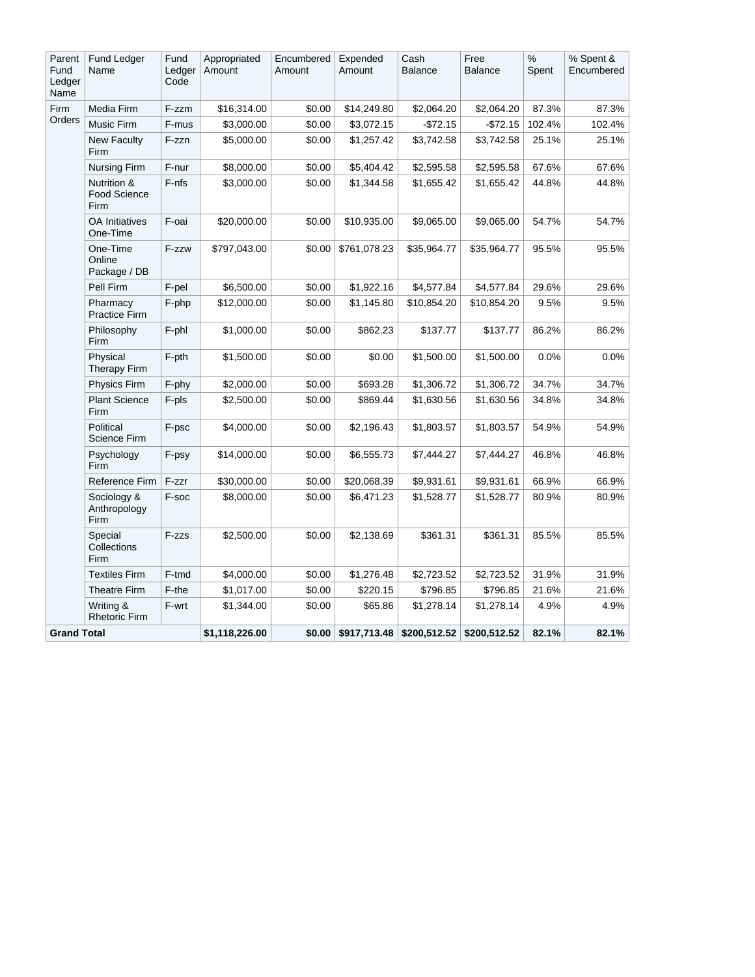| Parent<br>Fund<br>Ledger<br>Name | Fund Ledger<br>Name                        | Fund<br>Ledger<br>Code | Appropriated<br>Amount | Encumbered<br>Amount | Expended<br>Amount | Cash<br><b>Balance</b> | Free<br>Balance | $\%$<br>Spent | % Spent &<br>Encumbered |
|----------------------------------|--------------------------------------------|------------------------|------------------------|----------------------|--------------------|------------------------|-----------------|---------------|-------------------------|
| Firm                             | Media Firm                                 | F-zzm                  | \$16,314.00            | \$0.00               | \$14,249.80        | \$2,064.20             | \$2,064.20      | 87.3%         | 87.3%                   |
| Orders                           | Music Firm                                 | F-mus                  | \$3,000.00             | \$0.00               | \$3,072.15         | $-$ \$72.15            | -\$72.15        | 102.4%        | 102.4%                  |
|                                  | <b>New Faculty</b><br>Firm                 | F-zzn                  | \$5,000.00             | \$0.00               | \$1,257.42         | \$3,742.58             | \$3,742.58      | 25.1%         | 25.1%                   |
|                                  | <b>Nursing Firm</b>                        | F-nur                  | \$8,000.00             | \$0.00               | \$5,404.42         | \$2,595.58             | \$2,595.58      | 67.6%         | 67.6%                   |
|                                  | Nutrition &<br><b>Food Science</b><br>Firm | F-nfs                  | \$3,000.00             | \$0.00               | \$1,344.58         | \$1,655.42             | \$1,655.42      | 44.8%         | 44.8%                   |
|                                  | <b>OA</b> Initiatives<br>One-Time          | F-oai                  | \$20,000.00            | \$0.00               | \$10,935.00        | \$9,065.00             | \$9,065.00      | 54.7%         | 54.7%                   |
|                                  | One-Time<br>Online<br>Package / DB         | F-zzw                  | \$797,043.00           | \$0.00               | \$761,078.23       | \$35,964.77            | \$35,964.77     | 95.5%         | 95.5%                   |
|                                  | Pell Firm                                  | F-pel                  | \$6,500.00             | \$0.00               | \$1,922.16         | \$4,577.84             | \$4,577.84      | 29.6%         | 29.6%                   |
|                                  | Pharmacy<br>Practice Firm                  | F-php                  | \$12,000.00            | \$0.00               | \$1,145.80         | \$10,854.20            | \$10,854.20     | 9.5%          | 9.5%                    |
|                                  | Philosophy<br>Firm                         | F-phl                  | \$1,000.00             | \$0.00               | \$862.23           | \$137.77               | \$137.77        | 86.2%         | 86.2%                   |
|                                  | Physical<br><b>Therapy Firm</b>            | F-pth                  | \$1,500.00             | \$0.00               | \$0.00             | \$1,500.00             | \$1,500.00      | 0.0%          | 0.0%                    |
|                                  | Physics Firm                               | F-phy                  | \$2,000.00             | \$0.00               | \$693.28           | \$1,306.72             | \$1,306.72      | 34.7%         | 34.7%                   |
|                                  | <b>Plant Science</b><br>Firm               | F-pls                  | \$2,500.00             | \$0.00               | \$869.44           | \$1,630.56             | \$1,630.56      | 34.8%         | 34.8%                   |
|                                  | Political<br>Science Firm                  | F-psc                  | \$4,000.00             | \$0.00               | \$2,196.43         | \$1,803.57             | \$1,803.57      | 54.9%         | 54.9%                   |
|                                  | Psychology<br><b>Firm</b>                  | F-psy                  | \$14,000.00            | \$0.00               | \$6,555.73         | \$7,444.27             | \$7,444.27      | 46.8%         | 46.8%                   |
|                                  | Reference Firm                             | F-zzr                  | \$30,000.00            | \$0.00               | \$20,068.39        | \$9,931.61             | \$9,931.61      | 66.9%         | 66.9%                   |
|                                  | Sociology &<br>Anthropology<br><b>Firm</b> | F-soc                  | \$8,000.00             | \$0.00               | \$6,471.23         | \$1,528.77             | \$1,528.77      | 80.9%         | 80.9%                   |
|                                  | Special<br>Collections<br>Firm             | F-zzs                  | \$2,500.00             | \$0.00               | \$2,138.69         | \$361.31               | \$361.31        | 85.5%         | 85.5%                   |
|                                  | <b>Textiles Firm</b>                       | F-tmd                  | \$4,000.00             | \$0.00               | \$1,276.48         | \$2,723.52             | \$2,723.52      | 31.9%         | 31.9%                   |
|                                  | <b>Theatre Firm</b>                        | F-the                  | \$1,017.00             | \$0.00               | \$220.15           | \$796.85               | \$796.85        | 21.6%         | 21.6%                   |
|                                  | Writing &<br><b>Rhetoric Firm</b>          | F-wrt                  | \$1,344.00             | \$0.00               | \$65.86            | \$1,278.14             | \$1,278.14      | 4.9%          | 4.9%                    |
| <b>Grand Total</b>               |                                            |                        | \$1,118,226.00         | \$0.00               | \$917,713.48       | \$200,512.52           | \$200,512.52    | 82.1%         | 82.1%                   |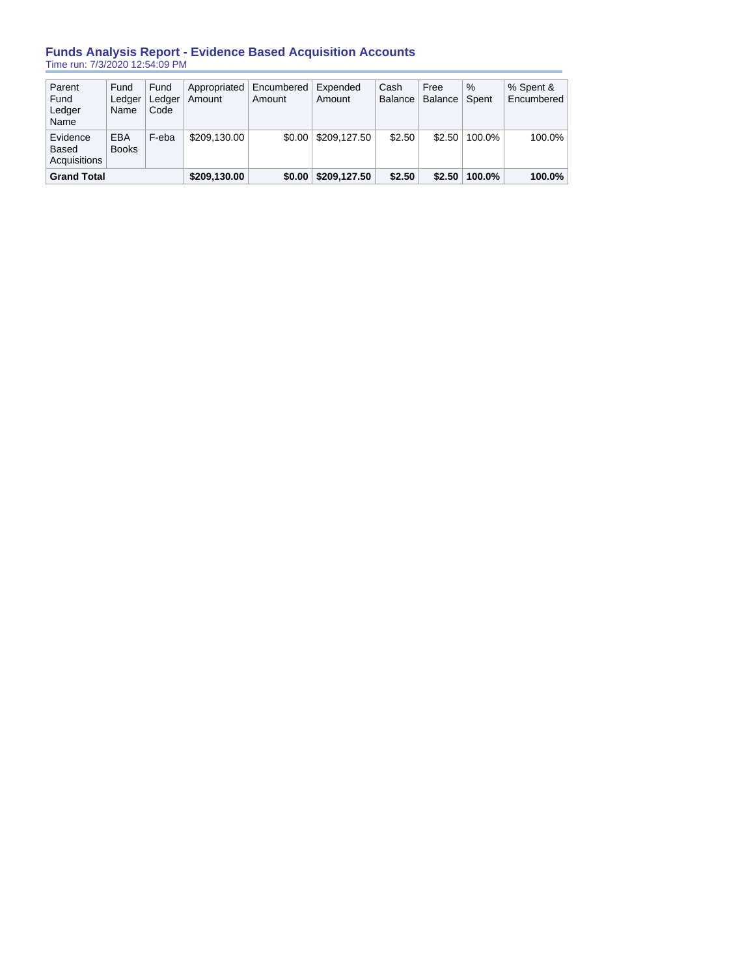# **Funds Analysis Report - Evidence Based Acquisition Accounts** Time run: 7/3/2020 12:54:09 PM

| Parent<br>Fund<br>Ledger<br>Name  | Fund<br>Ledger<br>Name     | Fund<br>Ledger<br>Code | Appropriated<br>Amount | Encumbered<br>Amount | Expended<br>Amount | Cash<br><b>Balance</b> | Free<br><b>Balance</b> | $\%$<br>Spent | % Spent &<br>Encumbered |
|-----------------------------------|----------------------------|------------------------|------------------------|----------------------|--------------------|------------------------|------------------------|---------------|-------------------------|
| Evidence<br>Based<br>Acquisitions | <b>EBA</b><br><b>Books</b> | F-eba                  | \$209.130.00           | \$0.00               | \$209.127.50       | \$2.50                 | \$2.50                 | 100.0%        | 100.0%                  |
| <b>Grand Total</b>                |                            |                        | \$209,130.00           | \$0.00               | \$209,127.50       | \$2.50                 | \$2.50                 | 100.0%        | 100.0%                  |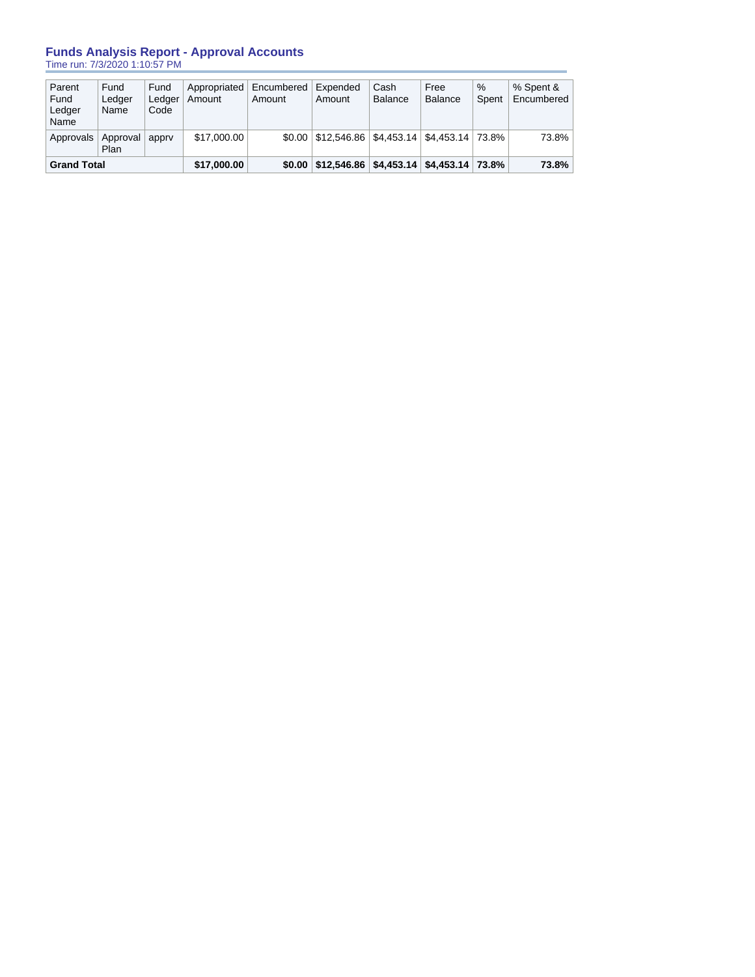## **Funds Analysis Report - Approval Accounts** Time run: 7/3/2020 1:10:57 PM

| Parent<br>Fund<br>Ledger<br>Name | Fund<br>Ledger<br>Name | Fund<br>Ledger<br>Code | Appropriated<br>Amount | Encumbered<br>Amount | Expended<br>Amount                                      | Cash<br><b>Balance</b> | Free<br><b>Balance</b> | $\%$<br>Spent | % Spent &<br>Encumbered |
|----------------------------------|------------------------|------------------------|------------------------|----------------------|---------------------------------------------------------|------------------------|------------------------|---------------|-------------------------|
| Approvals                        | Approval<br>Plan       | apprv                  | \$17,000.00            |                      | $$0.00$   \$12,546.86   \$4,453.14   \$4,453.14   73.8% |                        |                        |               | 73.8%                   |
| <b>Grand Total</b>               |                        |                        | \$17,000.00            | \$0.00               | $\vert$ \$12,546.86   \$4,453.14   \$4,453.14   73.8%   |                        |                        |               | 73.8%                   |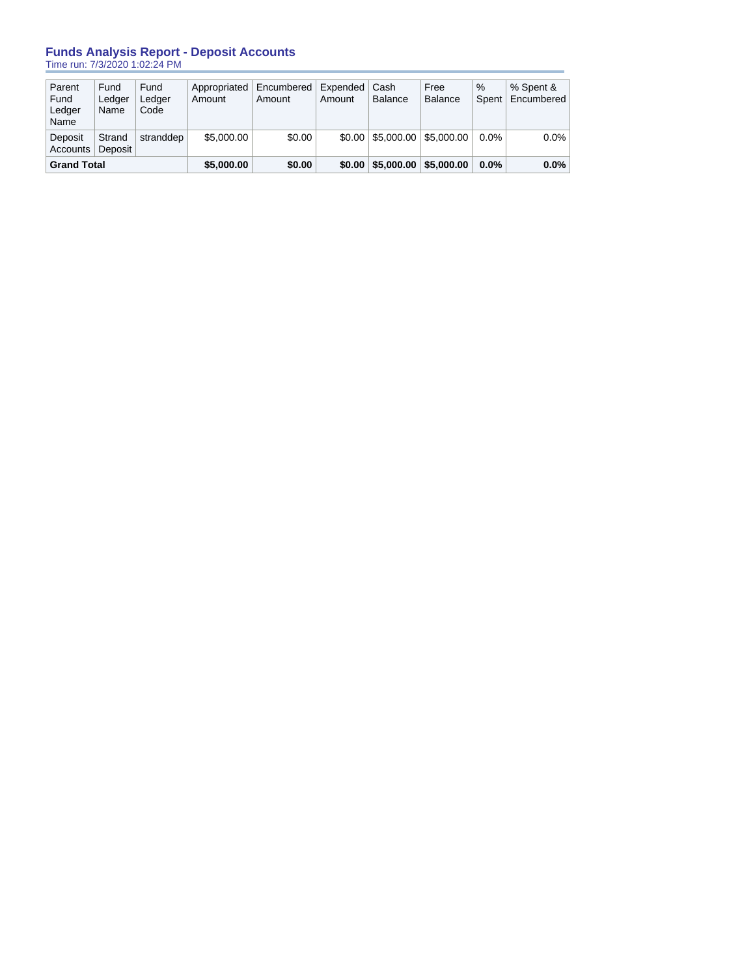# **Funds Analysis Report - Deposit Accounts**

Time run: 7/3/2020 1:02:24 PM

| Accounts<br><b>Grand Total</b>   |                        | \$5,000.00             | \$0.00                 | \$0.00               | \$5,000.00         | \$5,000,00              | $0.0\%$                  | 0.0%          |                         |
|----------------------------------|------------------------|------------------------|------------------------|----------------------|--------------------|-------------------------|--------------------------|---------------|-------------------------|
| Deposit                          | Strand<br>Deposit      | stranddep              | \$5,000.00             | \$0.00               |                    | $$0.00 \, \, $5.000.00$ | $\frac{1}{2}$ \$5.000.00 | $0.0\%$       | $0.0\%$                 |
| Parent<br>Fund<br>Ledger<br>Name | Fund<br>Ledger<br>Name | Fund<br>Ledger<br>Code | Appropriated<br>Amount | Encumbered<br>Amount | Expended<br>Amount | Cash<br>Balance         | Free<br><b>Balance</b>   | $\%$<br>Spent | % Spent &<br>Encumbered |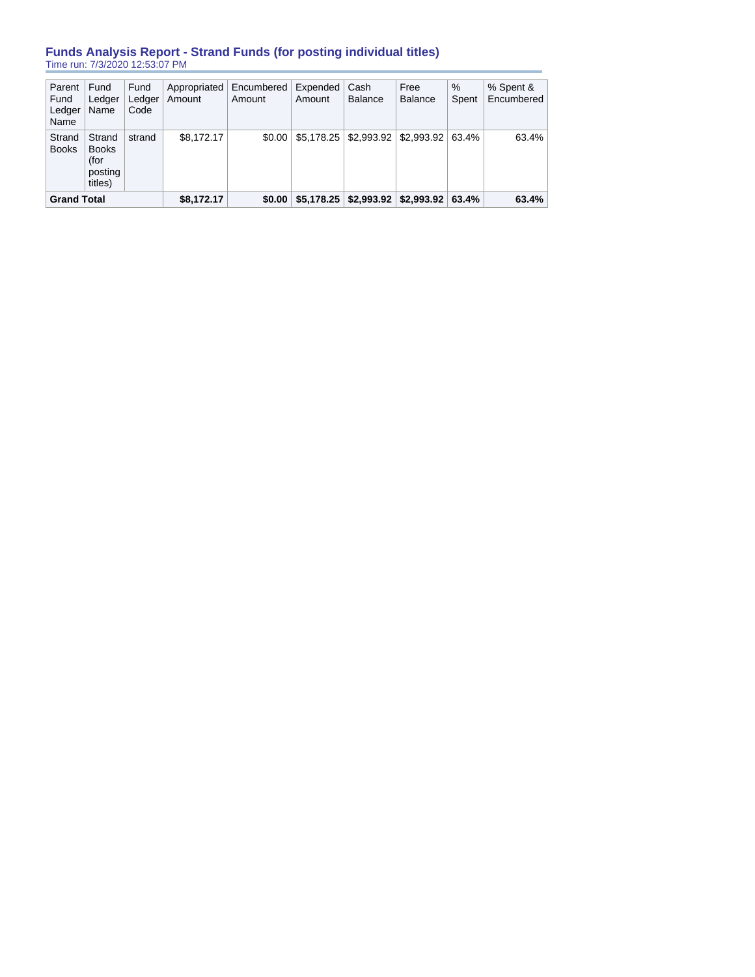# **Funds Analysis Report - Strand Funds (for posting individual titles)** Time run: 7/3/2020 12:53:07 PM

| Parent<br>Fund<br>Ledger<br>Name | Fund<br>Ledger<br>Name                               | Fund<br>Ledger<br>Code | Appropriated<br>Amount | Encumbered<br>Amount | Expended<br>Amount | Cash<br>Balance | Free<br><b>Balance</b>                                | $\%$<br>Spent | % Spent &<br>Encumbered |
|----------------------------------|------------------------------------------------------|------------------------|------------------------|----------------------|--------------------|-----------------|-------------------------------------------------------|---------------|-------------------------|
| Strand<br><b>Books</b>           | Strand<br><b>Books</b><br>(for<br>posting<br>titles) | strand                 | \$8.172.17             | \$0.00               |                    |                 | $$5,178.25 \mid $2,993.92 \mid $2,993.92 \mid $3.4\%$ |               | 63.4%                   |
| <b>Grand Total</b>               |                                                      |                        | \$8,172.17             | \$0.00               | \$5.178.25         | \$2,993.92      | \$2,993.92                                            | 63.4%         | 63.4%                   |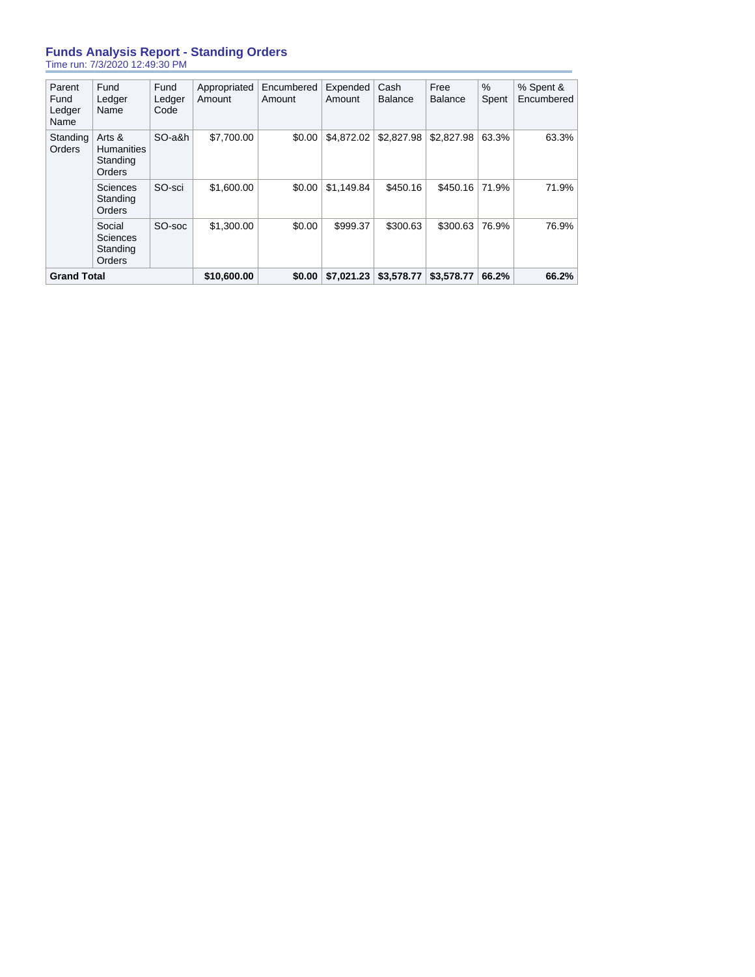## **Funds Analysis Report - Standing Orders** Time run: 7/3/2020 12:49:30 PM

| Parent<br>Fund<br>Ledger<br>Name | Fund<br>Ledger<br>Name                            | Fund<br>Ledger<br>Code | Appropriated<br>Amount | Encumbered<br>Amount | Expended<br>Amount | Cash<br><b>Balance</b> | Free<br>Balance | %<br>Spent | % Spent &<br>Encumbered |
|----------------------------------|---------------------------------------------------|------------------------|------------------------|----------------------|--------------------|------------------------|-----------------|------------|-------------------------|
| Standing<br><b>Orders</b>        | Arts &<br><b>Humanities</b><br>Standing<br>Orders | SO-a&h                 | \$7,700.00             | \$0.00               | \$4,872.02         | \$2,827.98             | \$2,827.98      | 63.3%      | 63.3%                   |
|                                  | <b>Sciences</b><br>Standing<br>Orders             | SO-sci                 | \$1,600.00             | \$0.00               | \$1.149.84         | \$450.16               | \$450.16        | 71.9%      | 71.9%                   |
|                                  | Social<br>Sciences<br>Standing<br>Orders          | SO-soc                 | \$1,300.00             | \$0.00               | \$999.37           | \$300.63               | \$300.63        | 76.9%      | 76.9%                   |
| <b>Grand Total</b>               |                                                   |                        | \$10,600.00            | \$0.00               | \$7.021.23         | \$3,578.77             | \$3,578.77      | 66.2%      | 66.2%                   |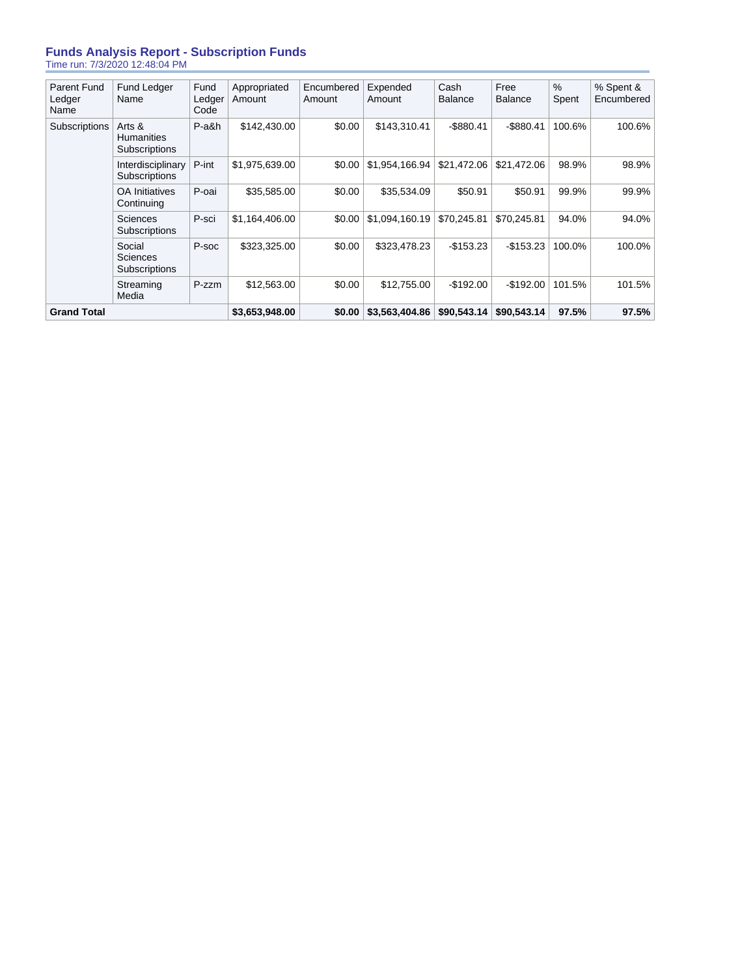## **Funds Analysis Report - Subscription Funds** Time run: 7/3/2020 12:48:04 PM

| <b>Parent Fund</b><br>Ledger<br>Ledger<br>Name<br>Amount<br>Amount<br>Amount<br>Code<br>Name<br>\$0.00<br>P-a&h<br>\$142,430.00<br>\$143,310.41<br>Subscriptions<br>Arts &<br><b>Humanities</b><br>Subscriptions<br>P-int<br>\$1,975,639.00<br>\$1.954.166.94<br>Interdisciplinary<br>\$0.00<br>Subscriptions<br><b>OA</b> Initiatives<br>P-oai<br>\$35,585.00<br>\$0.00<br>\$35,534.09<br>Continuing<br><b>Sciences</b><br>P-sci<br>\$1.164.406.00<br>\$1.094.160.19<br>\$0.00<br>Subscriptions<br>Social<br>P-soc<br>\$323,325.00<br>\$0.00<br>\$323,478.23<br><b>Sciences</b><br>Subscriptions<br>\$0.00<br>\$12,755,00<br>P-zzm<br>\$12,563.00<br>Streaming<br>Media | <b>Grand Total</b> |             |      | \$3,653,948.00 | \$0.00     | \$3,563,404.86 | \$90,543.14            | \$90,543.14            | 97.5%         | 97.5%                   |
|--------------------------------------------------------------------------------------------------------------------------------------------------------------------------------------------------------------------------------------------------------------------------------------------------------------------------------------------------------------------------------------------------------------------------------------------------------------------------------------------------------------------------------------------------------------------------------------------------------------------------------------------------------------------------|--------------------|-------------|------|----------------|------------|----------------|------------------------|------------------------|---------------|-------------------------|
|                                                                                                                                                                                                                                                                                                                                                                                                                                                                                                                                                                                                                                                                          |                    |             |      |                |            |                | $-$192.00$             | $-$192.00$             | 101.5%        | 101.5%                  |
|                                                                                                                                                                                                                                                                                                                                                                                                                                                                                                                                                                                                                                                                          |                    |             |      |                |            |                | $-$ \$153.23           | $-$ \$153.23           | 100.0%        | 100.0%                  |
|                                                                                                                                                                                                                                                                                                                                                                                                                                                                                                                                                                                                                                                                          |                    |             |      |                |            |                | \$70.245.81            | \$70.245.81            | 94.0%         | 94.0%                   |
|                                                                                                                                                                                                                                                                                                                                                                                                                                                                                                                                                                                                                                                                          |                    |             |      |                |            |                | \$50.91                | \$50.91                | 99.9%         | 99.9%                   |
|                                                                                                                                                                                                                                                                                                                                                                                                                                                                                                                                                                                                                                                                          |                    |             |      |                |            |                | \$21,472.06            | \$21,472.06            | 98.9%         | 98.9%                   |
|                                                                                                                                                                                                                                                                                                                                                                                                                                                                                                                                                                                                                                                                          |                    |             |      |                |            |                | $-$ \$880.41           | $-$ \$880.41           | 100.6%        | 100.6%                  |
|                                                                                                                                                                                                                                                                                                                                                                                                                                                                                                                                                                                                                                                                          |                    | Fund Ledger | Fund | Appropriated   | Encumbered | Expended       | Cash<br><b>Balance</b> | Free<br><b>Balance</b> | $\%$<br>Spent | % Spent &<br>Encumbered |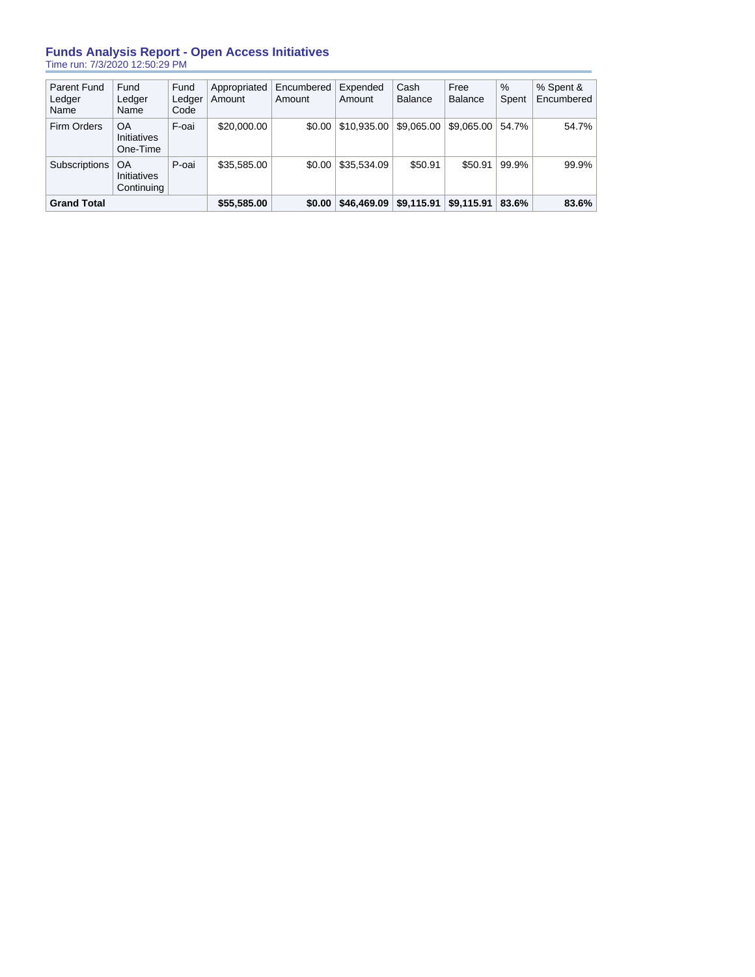## **Funds Analysis Report - Open Access Initiatives** Time run: 7/3/2020 12:50:29 PM

| <b>Parent Fund</b><br>Ledger<br>Name | Fund<br>Ledger<br>Name                 | Fund<br>Ledger<br>Code | Appropriated<br>Amount | Encumbered<br>Amount | Expended<br>Amount | Cash<br><b>Balance</b> | Free<br><b>Balance</b> | $\%$<br>Spent | % Spent &<br>Encumbered |
|--------------------------------------|----------------------------------------|------------------------|------------------------|----------------------|--------------------|------------------------|------------------------|---------------|-------------------------|
| <b>Firm Orders</b>                   | OA<br><b>Initiatives</b><br>One-Time   | F-oai                  | \$20,000.00            | \$0.00               | \$10,935.00        | \$9.065.00             | \$9,065,00             | 54.7%         | 54.7%                   |
| Subscriptions                        | OA<br><b>Initiatives</b><br>Continuing | P-oai                  | \$35,585.00            | \$0.00               | \$35,534.09        | \$50.91                | \$50.91                | 99.9%         | 99.9%                   |
| <b>Grand Total</b>                   |                                        |                        | \$55,585.00            | \$0.00               | \$46,469.09        | \$9,115.91             | \$9,115.91             | 83.6%         | 83.6%                   |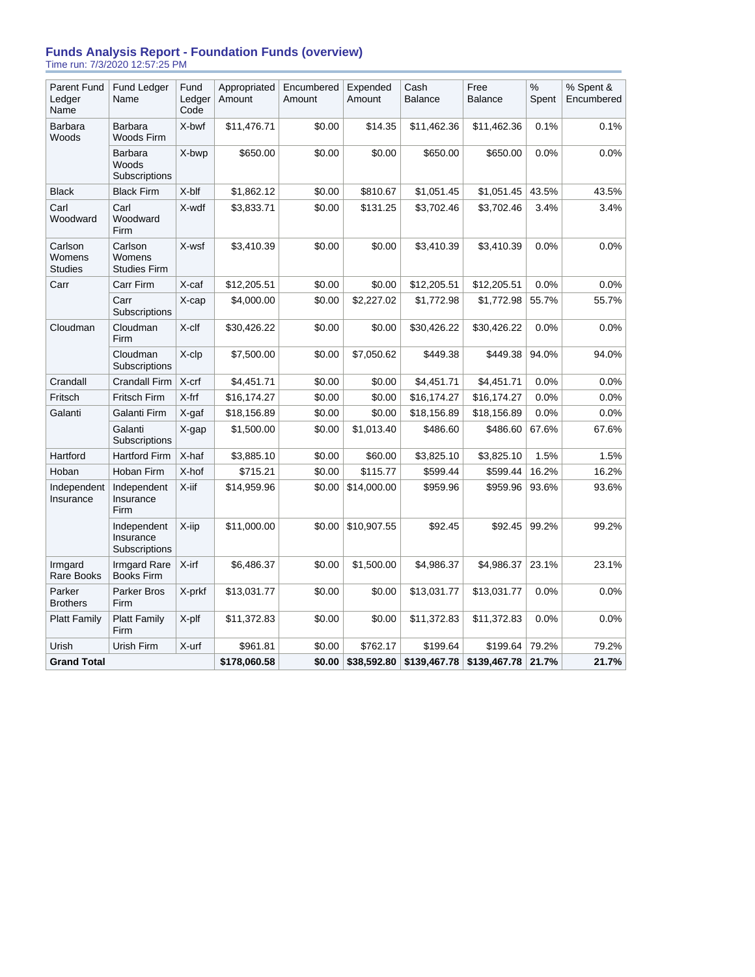## **Funds Analysis Report - Foundation Funds (overview)** Time run: 7/3/2020 12:57:25 PM

| <b>Parent Fund</b><br>Ledger<br>Name | Fund Ledger<br>Name                       | Fund<br>Ledger<br>Code | Appropriated<br>Amount | Encumbered<br>Amount | Expended<br>Amount | Cash<br><b>Balance</b> | Free<br><b>Balance</b> | $\%$<br>Spent | % Spent &<br>Encumbered |
|--------------------------------------|-------------------------------------------|------------------------|------------------------|----------------------|--------------------|------------------------|------------------------|---------------|-------------------------|
| Barbara<br>Woods                     | Barbara<br>Woods Firm                     | X-bwf                  | \$11,476.71            | \$0.00               | \$14.35            | \$11,462.36            | \$11,462.36            | 0.1%          | 0.1%                    |
|                                      | Barbara<br>Woods<br>Subscriptions         | X-bwp                  | \$650.00               | \$0.00               | \$0.00             | \$650.00               | \$650.00               | 0.0%          | 0.0%                    |
| <b>Black</b>                         | <b>Black Firm</b>                         | X-blf                  | \$1,862.12             | \$0.00               | \$810.67           | \$1,051.45             | \$1,051.45             | 43.5%         | 43.5%                   |
| Carl<br>Woodward                     | Carl<br>Woodward<br>Firm                  | X-wdf                  | \$3,833.71             | \$0.00               | \$131.25           | \$3,702.46             | \$3,702.46             | 3.4%          | 3.4%                    |
| Carlson<br>Womens<br><b>Studies</b>  | Carlson<br>Womens<br><b>Studies Firm</b>  | X-wsf                  | \$3,410.39             | \$0.00               | \$0.00             | \$3,410.39             | \$3,410.39             | 0.0%          | 0.0%                    |
| Carr                                 | Carr Firm                                 | X-caf                  | \$12,205.51            | \$0.00               | \$0.00             | \$12,205.51            | \$12,205.51            | 0.0%          | 0.0%                    |
|                                      | Carr<br>Subscriptions                     | X-cap                  | \$4,000.00             | \$0.00               | \$2,227.02         | \$1,772.98             | \$1,772.98             | 55.7%         | 55.7%                   |
| Cloudman                             | Cloudman<br>Firm                          | $X$ -clf               | \$30,426.22            | \$0.00               | \$0.00             | \$30,426.22            | \$30,426.22            | 0.0%          | 0.0%                    |
|                                      | Cloudman<br>Subscriptions                 | X-clp                  | \$7,500.00             | \$0.00               | \$7,050.62         | \$449.38               | \$449.38               | 94.0%         | 94.0%                   |
| Crandall                             | Crandall Firm                             | X-crf                  | \$4,451.71             | \$0.00               | \$0.00             | \$4,451.71             | \$4,451.71             | 0.0%          | 0.0%                    |
| Fritsch                              | Fritsch Firm                              | X-frf                  | \$16,174.27            | \$0.00               | \$0.00             | \$16,174.27            | \$16,174.27            | 0.0%          | 0.0%                    |
| Galanti                              | Galanti Firm                              | X-gaf                  | \$18,156.89            | \$0.00               | \$0.00             | \$18,156.89            | \$18,156.89            | 0.0%          | $0.0\%$                 |
|                                      | Galanti<br>Subscriptions                  | X-gap                  | \$1,500.00             | \$0.00               | \$1,013.40         | \$486.60               | \$486.60               | 67.6%         | 67.6%                   |
| Hartford                             | <b>Hartford Firm</b>                      | X-haf                  | \$3,885.10             | \$0.00               | \$60.00            | \$3,825.10             | \$3,825.10             | 1.5%          | 1.5%                    |
| Hoban                                | Hoban Firm                                | X-hof                  | \$715.21               | \$0.00               | \$115.77           | \$599.44               | \$599.44               | 16.2%         | 16.2%                   |
| Independent<br>Insurance             | Independent<br>Insurance<br>Firm          | $X$ -iif               | \$14,959.96            | \$0.00               | \$14,000.00        | \$959.96               | \$959.96               | 93.6%         | 93.6%                   |
|                                      | Independent<br>Insurance<br>Subscriptions | X-iip                  | \$11,000.00            | \$0.00               | \$10,907.55        | \$92.45                | \$92.45                | 99.2%         | 99.2%                   |
| Irmgard<br>Rare Books                | <b>Irmgard Rare</b><br><b>Books Firm</b>  | X-irf                  | \$6,486.37             | \$0.00               | \$1,500.00         | \$4,986.37             | \$4,986.37             | 23.1%         | 23.1%                   |
| Parker<br><b>Brothers</b>            | Parker Bros<br>Firm                       | X-prkf                 | \$13,031.77            | \$0.00               | \$0.00             | \$13,031.77            | \$13,031.77            | 0.0%          | 0.0%                    |
| <b>Platt Family</b>                  | <b>Platt Family</b><br>Firm               | X-plf                  | \$11,372.83            | \$0.00               | \$0.00             | \$11,372.83            | \$11,372.83            | 0.0%          | 0.0%                    |
| Urish                                | Urish Firm                                | X-urf                  | \$961.81               | \$0.00               | \$762.17           | \$199.64               | \$199.64               | 79.2%         | 79.2%                   |
| <b>Grand Total</b>                   |                                           |                        | \$178,060.58           | \$0.00               | \$38,592.80        | \$139,467.78           | \$139,467.78           | 21.7%         | 21.7%                   |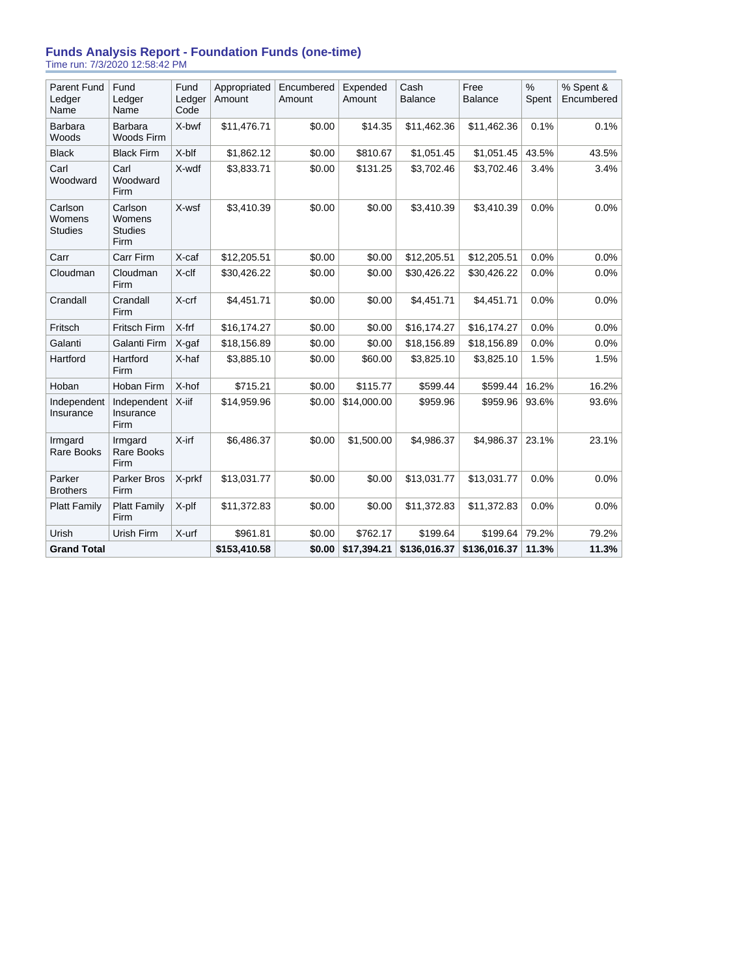## **Funds Analysis Report - Foundation Funds (one-time)** Time run: 7/3/2020 12:58:42 PM

| <b>Parent Fund</b><br>Ledger<br>Name | Fund<br>Ledger<br>Name                      | Fund<br>Ledger<br>Code | Appropriated<br>Amount | Encumbered<br>Amount | Expended<br>Amount | Cash<br><b>Balance</b> | Free<br><b>Balance</b> | $\%$<br>Spent | % Spent &<br>Encumbered |
|--------------------------------------|---------------------------------------------|------------------------|------------------------|----------------------|--------------------|------------------------|------------------------|---------------|-------------------------|
| Barbara<br>Woods                     | <b>Barbara</b><br>Woods Firm                | X-bwf                  | \$11,476.71            | \$0.00               | \$14.35            | \$11,462.36            | \$11,462.36            | 0.1%          | 0.1%                    |
| <b>Black</b>                         | <b>Black Firm</b>                           | X-blf                  | \$1,862.12             | \$0.00               | \$810.67           | \$1,051.45             | \$1,051.45             | 43.5%         | 43.5%                   |
| Carl<br>Woodward                     | Carl<br>Woodward<br>Firm                    | X-wdf                  | \$3,833.71             | \$0.00               | \$131.25           | \$3,702.46             | \$3,702.46             | 3.4%          | 3.4%                    |
| Carlson<br>Womens<br><b>Studies</b>  | Carlson<br>Womens<br><b>Studies</b><br>Firm | X-wsf                  | \$3,410.39             | \$0.00               | \$0.00             | \$3,410.39             | \$3,410.39             | 0.0%          | 0.0%                    |
| Carr                                 | Carr Firm                                   | X-caf                  | \$12,205.51            | \$0.00               | \$0.00             | \$12,205.51            | \$12,205.51            | 0.0%          | 0.0%                    |
| Cloudman                             | Cloudman<br>Firm                            | X-clf                  | \$30,426.22            | \$0.00               | \$0.00             | \$30,426.22            | \$30,426.22            | 0.0%          | 0.0%                    |
| Crandall                             | Crandall<br>Firm                            | X-crf                  | \$4,451.71             | \$0.00               | \$0.00             | \$4,451.71             | \$4,451.71             | 0.0%          | 0.0%                    |
| Fritsch                              | Fritsch Firm                                | X-frf                  | \$16,174.27            | \$0.00               | \$0.00             | \$16,174.27            | \$16,174.27            | 0.0%          | 0.0%                    |
| Galanti                              | Galanti Firm                                | X-gaf                  | \$18,156.89            | \$0.00               | \$0.00             | \$18,156.89            | \$18,156.89            | 0.0%          | 0.0%                    |
| Hartford                             | Hartford<br>Firm                            | X-haf                  | \$3,885.10             | \$0.00               | \$60.00            | \$3,825.10             | \$3,825.10             | 1.5%          | 1.5%                    |
| Hoban                                | Hoban Firm                                  | X-hof                  | \$715.21               | \$0.00               | \$115.77           | \$599.44               | \$599.44               | 16.2%         | 16.2%                   |
| Independent<br>Insurance             | Independent<br>Insurance<br>Firm            | X-iif                  | \$14,959.96            | \$0.00               | \$14,000.00        | \$959.96               | \$959.96               | 93.6%         | 93.6%                   |
| Irmgard<br>Rare Books                | Irmgard<br>Rare Books<br>Firm               | $X$ -irf               | \$6,486.37             | \$0.00               | \$1,500.00         | \$4,986.37             | \$4,986.37             | 23.1%         | 23.1%                   |
| Parker<br><b>Brothers</b>            | Parker Bros<br>Firm                         | X-prkf                 | \$13,031.77            | \$0.00               | \$0.00             | \$13,031.77            | \$13,031.77            | 0.0%          | 0.0%                    |
| <b>Platt Family</b>                  | <b>Platt Family</b><br>Firm                 | X-plf                  | \$11,372.83            | \$0.00               | \$0.00             | \$11,372.83            | \$11,372.83            | 0.0%          | 0.0%                    |
| Urish                                | Urish Firm                                  | X-urf                  | \$961.81               | \$0.00               | \$762.17           | \$199.64               | \$199.64               | 79.2%         | 79.2%                   |
| <b>Grand Total</b>                   |                                             |                        | \$153,410.58           | \$0.00               | \$17,394.21        | \$136,016.37           | \$136,016.37           | 11.3%         | 11.3%                   |